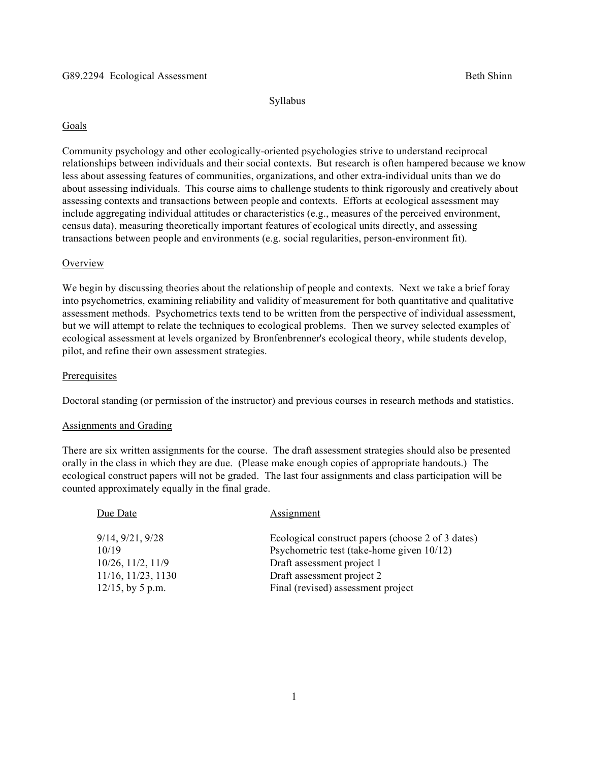Syllabus

# Goals

Community psychology and other ecologically-oriented psychologies strive to understand reciprocal relationships between individuals and their social contexts. But research is often hampered because we know less about assessing features of communities, organizations, and other extra-individual units than we do about assessing individuals. This course aims to challenge students to think rigorously and creatively about assessing contexts and transactions between people and contexts. Efforts at ecological assessment may include aggregating individual attitudes or characteristics (e.g., measures of the perceived environment, census data), measuring theoretically important features of ecological units directly, and assessing transactions between people and environments (e.g. social regularities, person-environment fit).

## **Overview**

We begin by discussing theories about the relationship of people and contexts. Next we take a brief foray into psychometrics, examining reliability and validity of measurement for both quantitative and qualitative assessment methods. Psychometrics texts tend to be written from the perspective of individual assessment, but we will attempt to relate the techniques to ecological problems. Then we survey selected examples of ecological assessment at levels organized by Bronfenbrenner's ecological theory, while students develop, pilot, and refine their own assessment strategies.

## **Prerequisites**

Doctoral standing (or permission of the instructor) and previous courses in research methods and statistics.

#### Assignments and Grading

There are six written assignments for the course. The draft assessment strategies should also be presented orally in the class in which they are due. (Please make enough copies of appropriate handouts.) The ecological construct papers will not be graded. The last four assignments and class participation will be counted approximately equally in the final grade.

| Due Date                                                                                                    | <b>Assignment</b>                                                                                                                                                                                |
|-------------------------------------------------------------------------------------------------------------|--------------------------------------------------------------------------------------------------------------------------------------------------------------------------------------------------|
| 9/14, 9/21, 9/28<br>10/19<br>$10/26$ , $11/2$ , $11/9$<br>$11/16$ , $11/23$ , $1130$<br>$12/15$ , by 5 p.m. | Ecological construct papers (choose 2 of 3 dates)<br>Psychometric test (take-home given 10/12)<br>Draft assessment project 1<br>Draft assessment project 2<br>Final (revised) assessment project |
|                                                                                                             |                                                                                                                                                                                                  |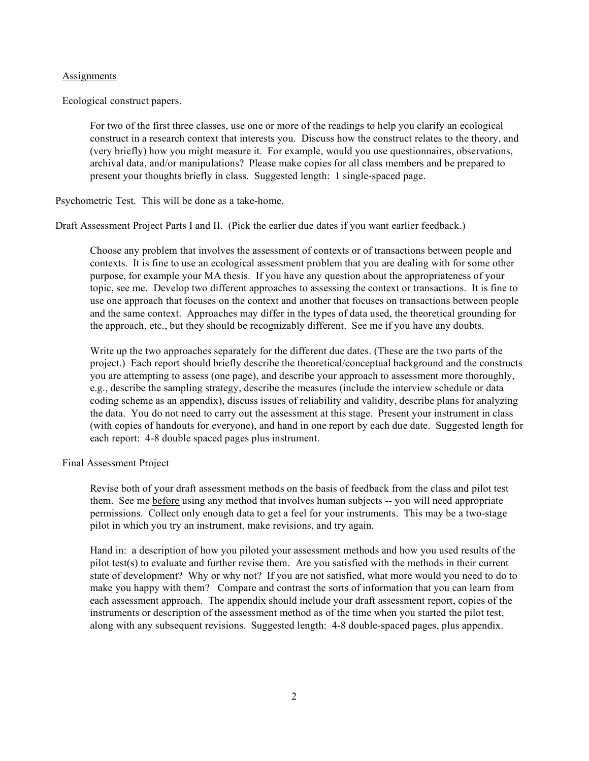## **Assignments**

Ecological construct papers.

For two of the first three classes, use one or more of the readings to help you clarify an ecological construct in a research context that interests you. Discuss how the construct relates to the theory, and (very briefly) how you might measure it. For example, would you use questionnaires, observations, archival data, and/or manipulations? Please make copies for all class members and be prepared to present your thoughts briefly in class. Suggested length: 1 single-spaced page.

Psychometric Test. This will be done as a take-home.

Draft Assessment Project Parts I and II. (Pick the earlier due dates if you want earlier feedback.)

Choose any problem that involves the assessment of contexts or of transactions between people and contexts. It is fine to use an ecological assessment problem that you are dealing with for some other purpose, for example your MA thesis. If you have any question about the appropriateness of your topic, see me. Develop two different approaches to assessing the context or transactions. It is fine to use one approach that focuses on the context and another that focuses on transactions between people and the same context. Approaches may differ in the types of data used, the theoretical grounding for the approach, etc., but they should be recognizably different. See me if you have any doubts.

Write up the two approaches separately for the different due dates. (These are the two parts of the project.) Each report should briefly describe the theoretical/conceptual background and the constructs you are attempting to assess (one page), and describe your approach to assessment more thoroughly, e.g., describe the sampling strategy, describe the measures (include the interview schedule or data coding scheme as an appendix), discuss issues of reliability and validity, describe plans for analyzing the data. You do not need to carry out the assessment at this stage. Present your instrument in class (with copies of handouts for everyone), and hand in one report by each due date. Suggested length for each report: 4-8 double spaced pages plus instrument.

Final Assessment Project

Revise both of your draft assessment methods on the basis of feedback from the class and pilot test them. See me before using any method that involves human subjects -- you will need appropriate permissions. Collect only enough data to get a feel for your instruments. This may be a two-stage pilot in which you try an instrument, make revisions, and try again.

Hand in: a description of how you piloted your assessment methods and how you used results of the pilot test(s) to evaluate and further revise them. Are you satisfied with the methods in their current state of development? Why or why not? If you are not satisfied, what more would you need to do to make you happy with them? Compare and contrast the sorts of information that you can learn from each assessment approach. The appendix should include your draft assessment report, copies of the instruments or description of the assessment method as of the time when you started the pilot test, along with any subsequent revisions. Suggested length: 4-8 double-spaced pages, plus appendix.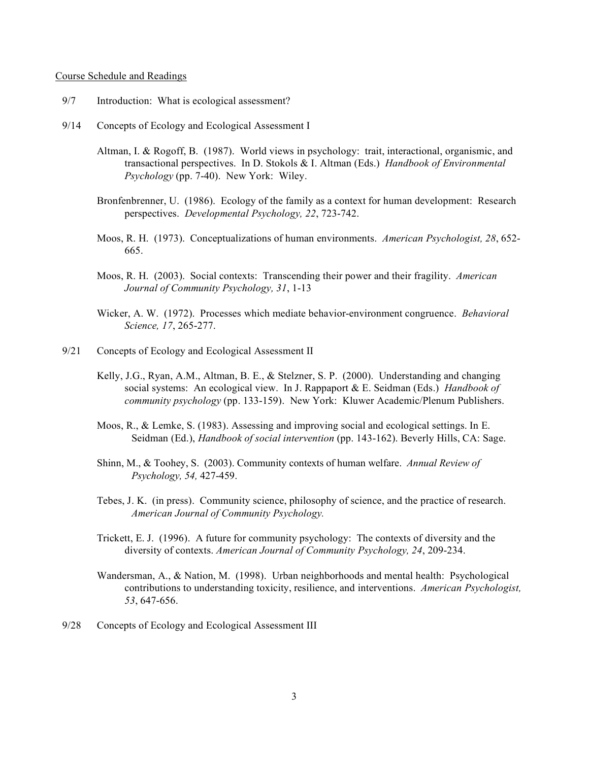## Course Schedule and Readings

- 9/7 Introduction: What is ecological assessment?
- 9/14 Concepts of Ecology and Ecological Assessment I
	- Altman, I. & Rogoff, B. (1987). World views in psychology: trait, interactional, organismic, and transactional perspectives. In D. Stokols & I. Altman (Eds.) *Handbook of Environmental Psychology* (pp. 7-40). New York: Wiley.
	- Bronfenbrenner, U. (1986). Ecology of the family as a context for human development: Research perspectives. *Developmental Psychology, 22*, 723-742.
	- Moos, R. H. (1973). Conceptualizations of human environments. *American Psychologist, 28*, 652- 665.
	- Moos, R. H. (2003). Social contexts: Transcending their power and their fragility. *American Journal of Community Psychology, 31*, 1-13
	- Wicker, A. W. (1972). Processes which mediate behavior-environment congruence. *Behavioral Science, 17*, 265-277.
- 9/21 Concepts of Ecology and Ecological Assessment II
	- Kelly, J.G., Ryan, A.M., Altman, B. E., & Stelzner, S. P. (2000). Understanding and changing social systems: An ecological view. In J. Rappaport & E. Seidman (Eds.) *Handbook of community psychology* (pp. 133-159). New York: Kluwer Academic/Plenum Publishers.
	- Moos, R., & Lemke, S. (1983). Assessing and improving social and ecological settings. In E. Seidman (Ed.), *Handbook of social intervention* (pp. 143-162). Beverly Hills, CA: Sage.
	- Shinn, M., & Toohey, S. (2003). Community contexts of human welfare. *Annual Review of Psychology, 54,* 427-459.
	- Tebes, J. K. (in press). Community science, philosophy of science, and the practice of research. *American Journal of Community Psychology.*
	- Trickett, E. J. (1996). A future for community psychology: The contexts of diversity and the diversity of contexts. *American Journal of Community Psychology, 24*, 209-234.
	- Wandersman, A., & Nation, M. (1998). Urban neighborhoods and mental health: Psychological contributions to understanding toxicity, resilience, and interventions. *American Psychologist, 53*, 647-656.
- 9/28 Concepts of Ecology and Ecological Assessment III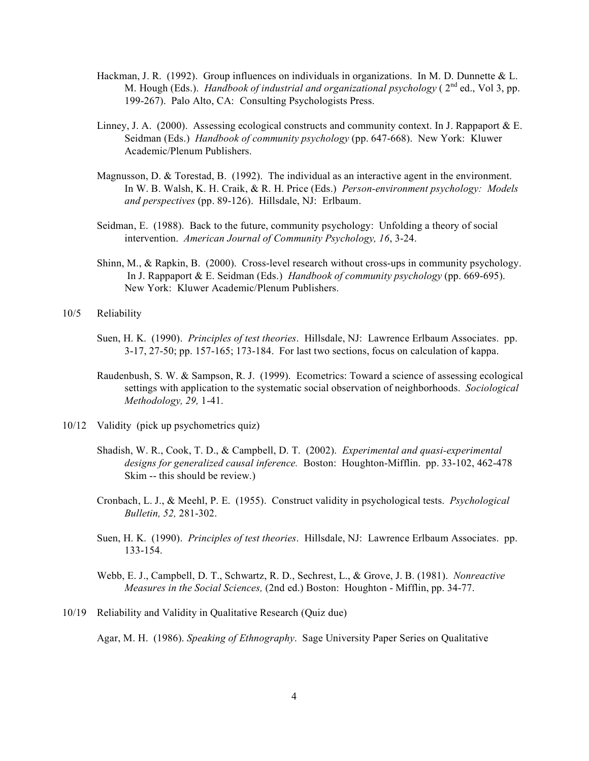- Hackman, J. R. (1992). Group influences on individuals in organizations. In M. D. Dunnette & L. M. Hough (Eds.). *Handbook of industrial and organizational psychology* ( 2nd ed., Vol 3, pp. 199-267). Palo Alto, CA: Consulting Psychologists Press.
- Linney, J. A. (2000). Assessing ecological constructs and community context. In J. Rappaport & E. Seidman (Eds.) *Handbook of community psychology* (pp. 647-668). New York: Kluwer Academic/Plenum Publishers.
- Magnusson, D. & Torestad, B. (1992). The individual as an interactive agent in the environment. In W. B. Walsh, K. H. Craik, & R. H. Price (Eds.) *Person-environment psychology: Models and perspectives* (pp. 89-126). Hillsdale, NJ: Erlbaum.
- Seidman, E. (1988). Back to the future, community psychology: Unfolding a theory of social intervention. *American Journal of Community Psychology, 16*, 3-24.
- Shinn, M., & Rapkin, B. (2000). Cross-level research without cross-ups in community psychology. In J. Rappaport & E. Seidman (Eds.) *Handbook of community psychology* (pp. 669-695). New York: Kluwer Academic/Plenum Publishers.

10/5 Reliability

- Suen, H. K. (1990). *Principles of test theories*. Hillsdale, NJ: Lawrence Erlbaum Associates. pp. 3-17, 27-50; pp. 157-165; 173-184. For last two sections, focus on calculation of kappa.
- Raudenbush, S. W. & Sampson, R. J. (1999). Ecometrics: Toward a science of assessing ecological settings with application to the systematic social observation of neighborhoods. *Sociological Methodology, 29,* 1-41.
- 10/12 Validity (pick up psychometrics quiz)
	- Shadish, W. R., Cook, T. D., & Campbell, D. T. (2002). *Experimental and quasi-experimental designs for generalized causal inference.* Boston: Houghton-Mifflin. pp. 33-102, 462-478 Skim -- this should be review.)
	- Cronbach, L. J., & Meehl, P. E. (1955). Construct validity in psychological tests. *Psychological Bulletin, 52,* 281-302.
	- Suen, H. K. (1990). *Principles of test theories*. Hillsdale, NJ: Lawrence Erlbaum Associates. pp. 133-154.
	- Webb, E. J., Campbell, D. T., Schwartz, R. D., Sechrest, L., & Grove, J. B. (1981). *Nonreactive Measures in the Social Sciences,* (2nd ed.) Boston: Houghton - Mifflin, pp. 34-77.
- 10/19 Reliability and Validity in Qualitative Research (Quiz due)

Agar, M. H. (1986). *Speaking of Ethnography*. Sage University Paper Series on Qualitative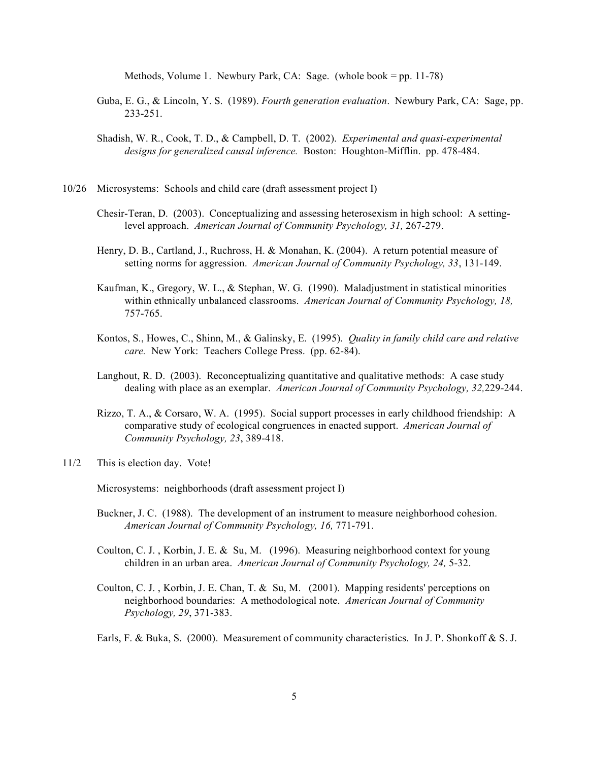Methods, Volume 1. Newbury Park, CA: Sage. (whole book = pp. 11-78)

- Guba, E. G., & Lincoln, Y. S. (1989). *Fourth generation evaluation*. Newbury Park, CA: Sage, pp. 233-251.
- Shadish, W. R., Cook, T. D., & Campbell, D. T. (2002). *Experimental and quasi-experimental designs for generalized causal inference.* Boston: Houghton-Mifflin. pp. 478-484.
- 10/26 Microsystems: Schools and child care (draft assessment project I)
	- Chesir-Teran, D. (2003). Conceptualizing and assessing heterosexism in high school: A settinglevel approach. *American Journal of Community Psychology, 31,* 267-279.
	- Henry, D. B., Cartland, J., Ruchross, H. & Monahan, K. (2004). A return potential measure of setting norms for aggression. *American Journal of Community Psychology, 33*, 131-149.
	- Kaufman, K., Gregory, W. L., & Stephan, W. G. (1990). Maladjustment in statistical minorities within ethnically unbalanced classrooms. *American Journal of Community Psychology, 18,* 757-765.
	- Kontos, S., Howes, C., Shinn, M., & Galinsky, E. (1995). *Quality in family child care and relative care.* New York: Teachers College Press. (pp. 62-84).
	- Langhout, R. D. (2003). Reconceptualizing quantitative and qualitative methods: A case study dealing with place as an exemplar. *American Journal of Community Psychology, 32,*229-244.
	- Rizzo, T. A., & Corsaro, W. A. (1995). Social support processes in early childhood friendship: A comparative study of ecological congruences in enacted support. *American Journal of Community Psychology, 23*, 389-418.
- 11/2 This is election day. Vote!

Microsystems: neighborhoods (draft assessment project I)

- Buckner, J. C. (1988). The development of an instrument to measure neighborhood cohesion. *American Journal of Community Psychology, 16,* 771-791.
- Coulton, C. J. , Korbin, J. E. & Su, M. (1996). Measuring neighborhood context for young children in an urban area. *American Journal of Community Psychology, 24,* 5-32.
- Coulton, C. J. , Korbin, J. E. Chan, T. & Su, M. (2001). Mapping residents' perceptions on neighborhood boundaries: A methodological note. *American Journal of Community Psychology, 29*, 371-383.
- Earls, F. & Buka, S. (2000). Measurement of community characteristics. In J. P. Shonkoff & S. J.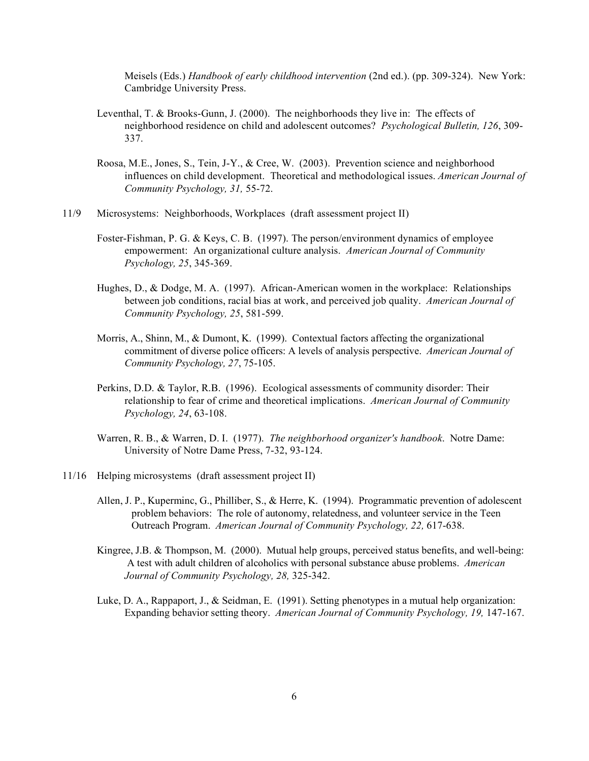Meisels (Eds.) *Handbook of early childhood intervention* (2nd ed.). (pp. 309-324). New York: Cambridge University Press.

- Leventhal, T. & Brooks-Gunn, J. (2000). The neighborhoods they live in: The effects of neighborhood residence on child and adolescent outcomes? *Psychological Bulletin, 126*, 309- 337.
- Roosa, M.E., Jones, S., Tein, J-Y., & Cree, W. (2003). Prevention science and neighborhood influences on child development. Theoretical and methodological issues. *American Journal of Community Psychology, 31,* 55-72.
- 11/9 Microsystems: Neighborhoods, Workplaces (draft assessment project II)
	- Foster-Fishman, P. G. & Keys, C. B. (1997). The person/environment dynamics of employee empowerment: An organizational culture analysis. *American Journal of Community Psychology, 25*, 345-369.
	- Hughes, D., & Dodge, M. A. (1997). African-American women in the workplace: Relationships between job conditions, racial bias at work, and perceived job quality. *American Journal of Community Psychology, 25*, 581-599.
	- Morris, A., Shinn, M., & Dumont, K. (1999). Contextual factors affecting the organizational commitment of diverse police officers: A levels of analysis perspective. *American Journal of Community Psychology, 27*, 75-105.
	- Perkins, D.D. & Taylor, R.B. (1996). Ecological assessments of community disorder: Their relationship to fear of crime and theoretical implications. *American Journal of Community Psychology, 24*, 63-108.
	- Warren, R. B., & Warren, D. I. (1977). *The neighborhood organizer's handbook*. Notre Dame: University of Notre Dame Press, 7-32, 93-124.
- 11/16 Helping microsystems (draft assessment project II)
	- Allen, J. P., Kuperminc, G., Philliber, S., & Herre, K. (1994). Programmatic prevention of adolescent problem behaviors: The role of autonomy, relatedness, and volunteer service in the Teen Outreach Program. *American Journal of Community Psychology, 22,* 617-638.
	- Kingree, J.B. & Thompson, M. (2000). Mutual help groups, perceived status benefits, and well-being: A test with adult children of alcoholics with personal substance abuse problems. *American Journal of Community Psychology, 28,* 325-342.
	- Luke, D. A., Rappaport, J., & Seidman, E. (1991). Setting phenotypes in a mutual help organization: Expanding behavior setting theory. *American Journal of Community Psychology, 19,* 147-167.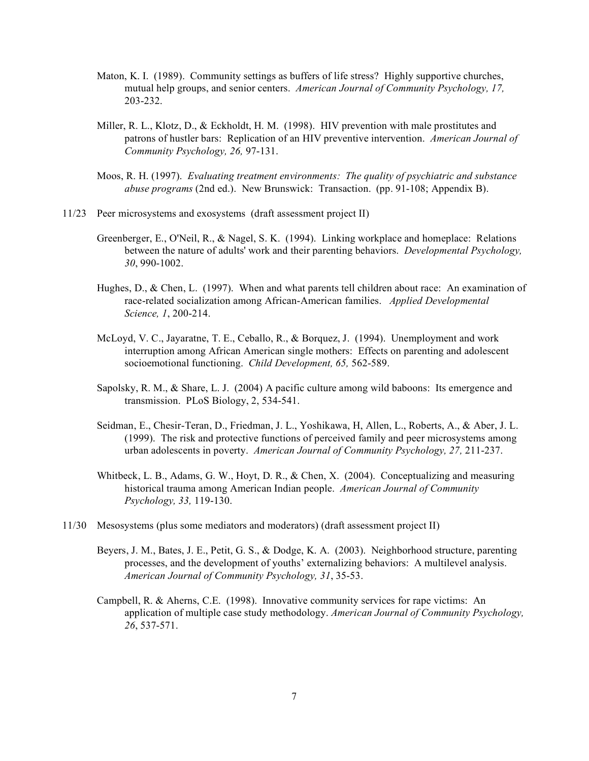- Maton, K. I. (1989). Community settings as buffers of life stress? Highly supportive churches, mutual help groups, and senior centers. *American Journal of Community Psychology, 17,* 203-232.
- Miller, R. L., Klotz, D., & Eckholdt, H. M. (1998). HIV prevention with male prostitutes and patrons of hustler bars: Replication of an HIV preventive intervention. *American Journal of Community Psychology, 26,* 97-131.
- Moos, R. H. (1997). *Evaluating treatment environments: The quality of psychiatric and substance abuse programs* (2nd ed.). New Brunswick: Transaction. (pp. 91-108; Appendix B).
- 11/23 Peer microsystems and exosystems (draft assessment project II)
	- Greenberger, E., O'Neil, R., & Nagel, S. K. (1994). Linking workplace and homeplace: Relations between the nature of adults' work and their parenting behaviors. *Developmental Psychology, 30*, 990-1002.
	- Hughes, D., & Chen, L. (1997). When and what parents tell children about race: An examination of race-related socialization among African-American families. *Applied Developmental Science, 1*, 200-214.
	- McLoyd, V. C., Jayaratne, T. E., Ceballo, R., & Borquez, J. (1994). Unemployment and work interruption among African American single mothers: Effects on parenting and adolescent socioemotional functioning. *Child Development, 65,* 562-589.
	- Sapolsky, R. M., & Share, L. J. (2004) A pacific culture among wild baboons: Its emergence and transmission. PLoS Biology, 2, 534-541.
	- Seidman, E., Chesir-Teran, D., Friedman, J. L., Yoshikawa, H, Allen, L., Roberts, A., & Aber, J. L. (1999). The risk and protective functions of perceived family and peer microsystems among urban adolescents in poverty. *American Journal of Community Psychology, 27,* 211-237.
	- Whitbeck, L. B., Adams, G. W., Hoyt, D. R., & Chen, X. (2004). Conceptualizing and measuring historical trauma among American Indian people. *American Journal of Community Psychology, 33,* 119-130.
- 11/30 Mesosystems (plus some mediators and moderators) (draft assessment project II)
	- Beyers, J. M., Bates, J. E., Petit, G. S., & Dodge, K. A. (2003). Neighborhood structure, parenting processes, and the development of youths' externalizing behaviors: A multilevel analysis. *American Journal of Community Psychology, 31*, 35-53.
	- Campbell, R. & Aherns, C.E. (1998). Innovative community services for rape victims: An application of multiple case study methodology. *American Journal of Community Psychology, 26*, 537-571.